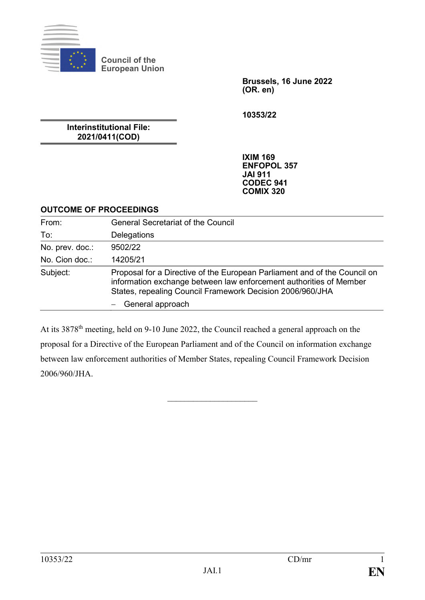

**Council of the European Union**

> **Brussels, 16 June 2022 (OR. en)**

**10353/22**

**Interinstitutional File: 2021/0411(COD)**

> **IXIM 169 ENFOPOL 357 JAI 911 CODEC 941 COMIX 320**

## **OUTCOME OF PROCEEDINGS**

| From:           | <b>General Secretariat of the Council</b>                                                                                                                                                                    |
|-----------------|--------------------------------------------------------------------------------------------------------------------------------------------------------------------------------------------------------------|
| To:             | Delegations                                                                                                                                                                                                  |
| No. prev. doc.: | 9502/22                                                                                                                                                                                                      |
| No. Cion doc.:  | 14205/21                                                                                                                                                                                                     |
| Subject:        | Proposal for a Directive of the European Parliament and of the Council on<br>information exchange between law enforcement authorities of Member<br>States, repealing Council Framework Decision 2006/960/JHA |
|                 | General approach                                                                                                                                                                                             |

At its 3878th meeting, held on 9-10 June 2022, the Council reached a general approach on the proposal for a Directive of the European Parliament and of the Council on information exchange between law enforcement authorities of Member States, repealing Council Framework Decision 2006/960/JHA.

 $\overline{\phantom{a}}$  , where  $\overline{\phantom{a}}$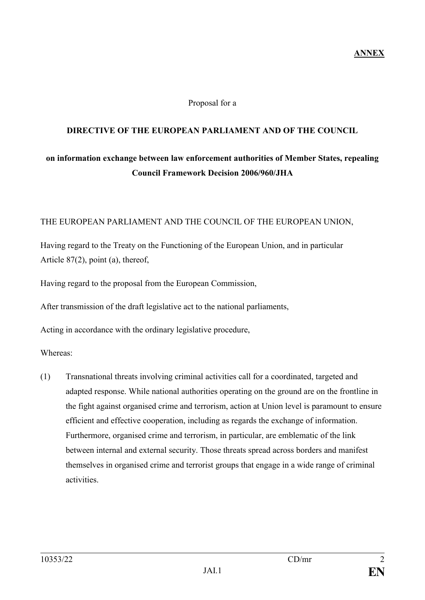## **ANNEX**

#### Proposal for a

### **DIRECTIVE OF THE EUROPEAN PARLIAMENT AND OF THE COUNCIL**

# **on information exchange between law enforcement authorities of Member States, repealing Council Framework Decision 2006/960/JHA**

#### THE EUROPEAN PARLIAMENT AND THE COUNCIL OF THE EUROPEAN UNION,

Having regard to the Treaty on the Functioning of the European Union, and in particular Article 87(2), point (a), thereof,

Having regard to the proposal from the European Commission,

After transmission of the draft legislative act to the national parliaments,

Acting in accordance with the ordinary legislative procedure,

Whereas:

(1) Transnational threats involving criminal activities call for a coordinated, targeted and adapted response. While national authorities operating on the ground are on the frontline in the fight against organised crime and terrorism, action at Union level is paramount to ensure efficient and effective cooperation, including as regards the exchange of information. Furthermore, organised crime and terrorism, in particular, are emblematic of the link between internal and external security. Those threats spread across borders and manifest themselves in organised crime and terrorist groups that engage in a wide range of criminal activities.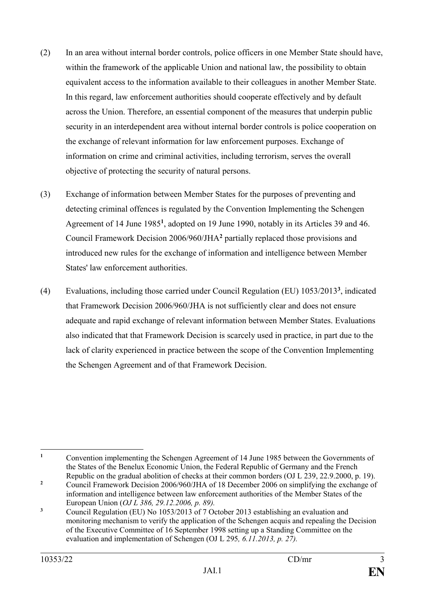- (2) In an area without internal border controls, police officers in one Member State should have, within the framework of the applicable Union and national law, the possibility to obtain equivalent access to the information available to their colleagues in another Member State. In this regard, law enforcement authorities should cooperate effectively and by default across the Union. Therefore, an essential component of the measures that underpin public security in an interdependent area without internal border controls is police cooperation on the exchange of relevant information for law enforcement purposes. Exchange of information on crime and criminal activities, including terrorism, serves the overall objective of protecting the security of natural persons.
- (3) Exchange of information between Member States for the purposes of preventing and detecting criminal offences is regulated by the Convention Implementing the Schengen Agreement of 14 June 1985**<sup>1</sup>** , adopted on 19 June 1990, notably in its Articles 39 and 46. Council Framework Decision 2006/960/JHA**<sup>2</sup>** partially replaced those provisions and introduced new rules for the exchange of information and intelligence between Member States' law enforcement authorities.
- (4) Evaluations, including those carried under Council Regulation (EU) 1053/2013**<sup>3</sup>** , indicated that Framework Decision 2006/960/JHA is not sufficiently clear and does not ensure adequate and rapid exchange of relevant information between Member States. Evaluations also indicated that that Framework Decision is scarcely used in practice, in part due to the lack of clarity experienced in practice between the scope of the Convention Implementing the Schengen Agreement and of that Framework Decision.

 $\mathbf{1}$ **<sup>1</sup>** Convention implementing the Schengen Agreement of 14 June 1985 between the Governments of the States of the Benelux Economic Union, the Federal Republic of Germany and the French Republic on the gradual abolition of checks at their common borders (OJ L 239, 22.9.2000, p. 19).

<sup>&</sup>lt;sup>2</sup> Council Framework Decision 2006/960/JHA of 18 December 2006 on simplifying the exchange of information and intelligence between law enforcement authorities of the Member States of the European Union (*OJ L 386, 29.12.2006, p. 89).*

<sup>&</sup>lt;sup>3</sup> Council Regulation (EU) No 1053/2013 of 7 October 2013 establishing an evaluation and monitoring mechanism to verify the application of the Schengen acquis and repealing the Decision of the Executive Committee of 16 September 1998 setting up a Standing Committee on the evaluation and implementation of Schengen (OJ L 295*, 6.11.2013, p. 27).*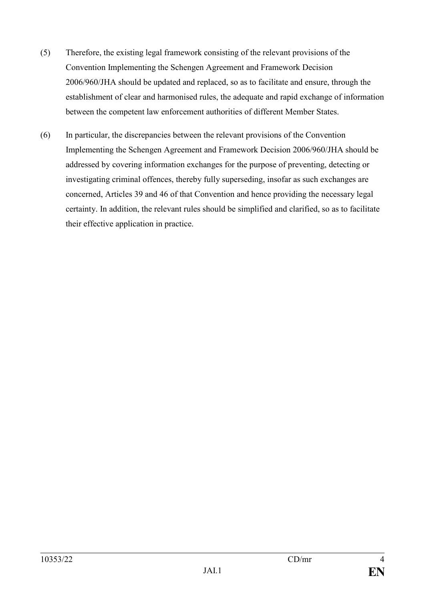- (5) Therefore, the existing legal framework consisting of the relevant provisions of the Convention Implementing the Schengen Agreement and Framework Decision 2006/960/JHA should be updated and replaced, so as to facilitate and ensure, through the establishment of clear and harmonised rules, the adequate and rapid exchange of information between the competent law enforcement authorities of different Member States.
- (6) In particular, the discrepancies between the relevant provisions of the Convention Implementing the Schengen Agreement and Framework Decision 2006/960/JHA should be addressed by covering information exchanges for the purpose of preventing, detecting or investigating criminal offences, thereby fully superseding, insofar as such exchanges are concerned, Articles 39 and 46 of that Convention and hence providing the necessary legal certainty. In addition, the relevant rules should be simplified and clarified, so as to facilitate their effective application in practice.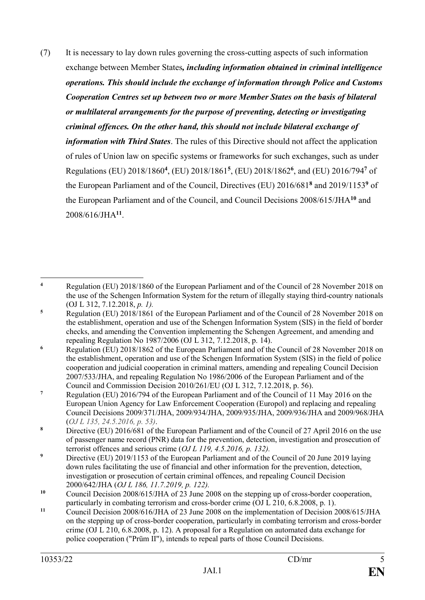(7) It is necessary to lay down rules governing the cross-cutting aspects of such information exchange between Member States*, including information obtained in criminal intelligence operations. This should include the exchange of information through Police and Customs Cooperation Centres set up between two or more Member States on the basis of bilateral or multilateral arrangements for the purpose of preventing, detecting or investigating criminal offences. On the other hand, this should not include bilateral exchange of information with Third States*. The rules of this Directive should not affect the application of rules of Union law on specific systems or frameworks for such exchanges, such as under Regulations (EU) 2018/1860**<sup>4</sup>** , (EU) 2018/1861**<sup>5</sup>** , (EU) 2018/1862**<sup>6</sup>** , and (EU) 2016/794**<sup>7</sup>** of the European Parliament and of the Council, Directives (EU) 2016/681**<sup>8</sup>** and 2019/1153**<sup>9</sup>** of the European Parliament and of the Council, and Council Decisions 2008/615/JHA**<sup>10</sup>** and 2008/616/JHA**<sup>11</sup>** .

 $\overline{\mathbf{4}}$ **<sup>4</sup>** Regulation (EU) 2018/1860 of the European Parliament and of the Council of 28 November 2018 on the use of the Schengen Information System for the return of illegally staying third-country nationals (OJ L 312, 7.12.2018, *p. 1).*

<sup>&</sup>lt;sup>5</sup> Regulation (EU) 2018/1861 of the European Parliament and of the Council of 28 November 2018 on the establishment, operation and use of the Schengen Information System (SIS) in the field of border checks, and amending the Convention implementing the Schengen Agreement, and amending and repealing Regulation No 1987/2006 (OJ L 312, 7.12.2018, p. 14).

<sup>&</sup>lt;sup>6</sup> Regulation (EU) 2018/1862 of the European Parliament and of the Council of 28 November 2018 on the establishment, operation and use of the Schengen Information System (SIS) in the field of police cooperation and judicial cooperation in criminal matters, amending and repealing Council Decision 2007/533/JHA, and repealing Regulation No 1986/2006 of the European Parliament and of the Council and Commission Decision 2010/261/EU (OJ L 312, 7.12.2018, p. 56).

**<sup>7</sup>** Regulation (EU) 2016/794 of the European Parliament and of the Council of 11 May 2016 on the European Union Agency for Law Enforcement Cooperation (Europol) and replacing and repealing Council Decisions 2009/371/JHA, 2009/934/JHA, 2009/935/JHA, 2009/936/JHA and 2009/968/JHA (*OJ L 135, 24.5.2016, p. 53)*.

<sup>&</sup>lt;sup>8</sup> Directive (EU) 2016/681 of the European Parliament and of the Council of 27 April 2016 on the use of passenger name record (PNR) data for the prevention, detection, investigation and prosecution of terrorist offences and serious crime (*OJ L 119, 4.5.2016, p. 132).*

<sup>&</sup>lt;sup>9</sup> Directive (EU) 2019/1153 of the European Parliament and of the Council of 20 June 2019 laying down rules facilitating the use of financial and other information for the prevention, detection, investigation or prosecution of certain criminal offences, and repealing Council Decision 2000/642/JHA (*OJ L 186, 11.7.2019, p. 122).*

<sup>&</sup>lt;sup>10</sup> Council Decision 2008/615/JHA of 23 June 2008 on the stepping up of cross-border cooperation, particularly in combating terrorism and cross-border crime (OJ L 210, 6.8.2008, p. 1).

**<sup>11</sup>** Council Decision 2008/616/JHA of 23 June 2008 on the implementation of Decision 2008/615/JHA on the stepping up of cross-border cooperation, particularly in combating terrorism and cross-border crime (OJ L 210, 6.8.2008, p. 12). A proposal for a Regulation on automated data exchange for police cooperation ("Prüm II"), intends to repeal parts of those Council Decisions.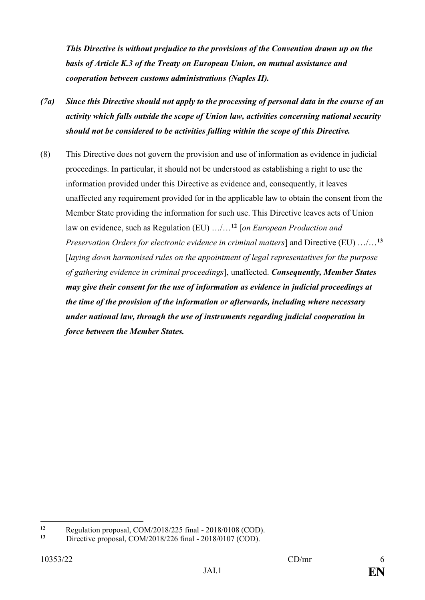*This Directive is without prejudice to the provisions of the Convention drawn up on the basis of Article K.3 of the Treaty on European Union, on mutual assistance and cooperation between customs administrations (Naples II).*

- *(7a) Since this Directive should not apply to the processing of personal data in the course of an activity which falls outside the scope of Union law, activities concerning national security should not be considered to be activities falling within the scope of this Directive.*
- (8) This Directive does not govern the provision and use of information as evidence in judicial proceedings. In particular, it should not be understood as establishing a right to use the information provided under this Directive as evidence and, consequently, it leaves unaffected any requirement provided for in the applicable law to obtain the consent from the Member State providing the information for such use. This Directive leaves acts of Union law on evidence, such as Regulation (EU) …/…**<sup>12</sup>** [*on European Production and Preservation Orders for electronic evidence in criminal matters*] and Directive (EU) …/…**<sup>13</sup>** [*laying down harmonised rules on the appointment of legal representatives for the purpose of gathering evidence in criminal proceedings*], unaffected. *Consequently, Member States may give their consent for the use of information as evidence in judicial proceedings at the time of the provision of the information or afterwards, including where necessary under national law, through the use of instruments regarding judicial cooperation in force between the Member States.*

 $12$ **12** Regulation proposal, COM/2018/225 final - 2018/0108 (COD).<br> **13** Directive grams cal. COM/2018/226 final - 2018/0107 (COD).

**<sup>13</sup>** Directive proposal, COM/2018/226 final - 2018/0107 (COD).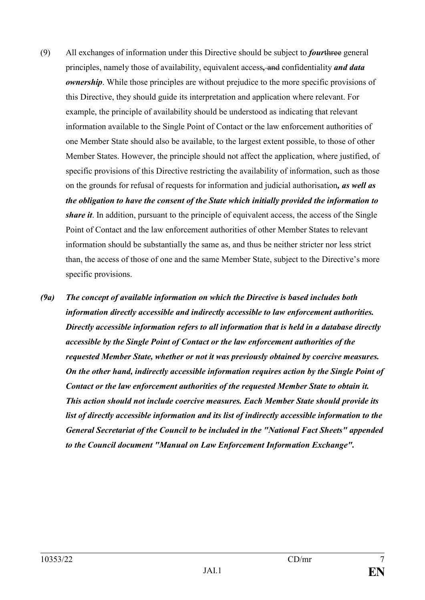- (9) All exchanges of information under this Directive should be subject to *four*three general principles, namely those of availability, equivalent access*,* and confidentiality *and data ownership*. While those principles are without prejudice to the more specific provisions of this Directive, they should guide its interpretation and application where relevant. For example, the principle of availability should be understood as indicating that relevant information available to the Single Point of Contact or the law enforcement authorities of one Member State should also be available, to the largest extent possible, to those of other Member States. However, the principle should not affect the application, where justified, of specific provisions of this Directive restricting the availability of information, such as those on the grounds for refusal of requests for information and judicial authorisation*, as well as the obligation to have the consent of the State which initially provided the information to share it*. In addition, pursuant to the principle of equivalent access, the access of the Single Point of Contact and the law enforcement authorities of other Member States to relevant information should be substantially the same as, and thus be neither stricter nor less strict than, the access of those of one and the same Member State, subject to the Directive's more specific provisions.
- *(9a) The concept of available information on which the Directive is based includes both information directly accessible and indirectly accessible to law enforcement authorities. Directly accessible information refers to all information that is held in a database directly accessible by the Single Point of Contact or the law enforcement authorities of the requested Member State, whether or not it was previously obtained by coercive measures. On the other hand, indirectly accessible information requires action by the Single Point of Contact or the law enforcement authorities of the requested Member State to obtain it. This action should not include coercive measures. Each Member State should provide its list of directly accessible information and its list of indirectly accessible information to the General Secretariat of the Council to be included in the "National Fact Sheets" appended to the Council document "Manual on Law Enforcement Information Exchange".*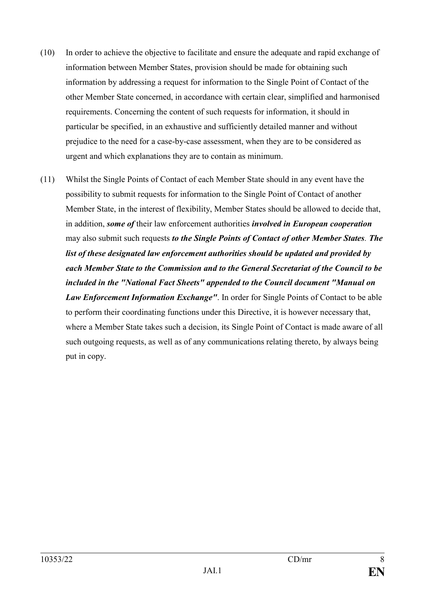- (10) In order to achieve the objective to facilitate and ensure the adequate and rapid exchange of information between Member States, provision should be made for obtaining such information by addressing a request for information to the Single Point of Contact of the other Member State concerned, in accordance with certain clear, simplified and harmonised requirements. Concerning the content of such requests for information, it should in particular be specified, in an exhaustive and sufficiently detailed manner and without prejudice to the need for a case-by-case assessment, when they are to be considered as urgent and which explanations they are to contain as minimum.
- (11) Whilst the Single Points of Contact of each Member State should in any event have the possibility to submit requests for information to the Single Point of Contact of another Member State, in the interest of flexibility, Member States should be allowed to decide that, in addition, *some of* their law enforcement authorities *involved in European cooperation* may also submit such requests *to the Single Points of Contact of other Member States. The list of these designated law enforcement authorities should be updated and provided by each Member State to the Commission and to the General Secretariat of the Council to be included in the "National Fact Sheets" appended to the Council document "Manual on Law Enforcement Information Exchange"*. In order for Single Points of Contact to be able to perform their coordinating functions under this Directive, it is however necessary that, where a Member State takes such a decision, its Single Point of Contact is made aware of all such outgoing requests, as well as of any communications relating thereto, by always being put in copy.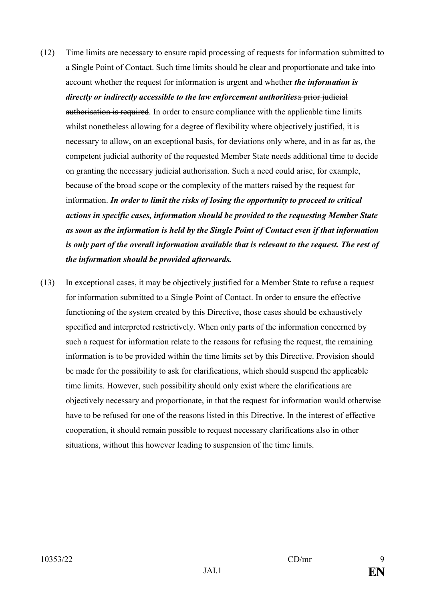- (12) Time limits are necessary to ensure rapid processing of requests for information submitted to a Single Point of Contact. Such time limits should be clear and proportionate and take into account whether the request for information is urgent and whether *the information is directly or indirectly accessible to the law enforcement authorities*a prior judicial authorisation is required. In order to ensure compliance with the applicable time limits whilst nonetheless allowing for a degree of flexibility where objectively justified, it is necessary to allow, on an exceptional basis, for deviations only where, and in as far as, the competent judicial authority of the requested Member State needs additional time to decide on granting the necessary judicial authorisation. Such a need could arise, for example, because of the broad scope or the complexity of the matters raised by the request for information. *In order to limit the risks of losing the opportunity to proceed to critical actions in specific cases, information should be provided to the requesting Member State as soon as the information is held by the Single Point of Contact even if that information is only part of the overall information available that is relevant to the request. The rest of the information should be provided afterwards.*
- (13) In exceptional cases, it may be objectively justified for a Member State to refuse a request for information submitted to a Single Point of Contact. In order to ensure the effective functioning of the system created by this Directive, those cases should be exhaustively specified and interpreted restrictively. When only parts of the information concerned by such a request for information relate to the reasons for refusing the request, the remaining information is to be provided within the time limits set by this Directive. Provision should be made for the possibility to ask for clarifications, which should suspend the applicable time limits. However, such possibility should only exist where the clarifications are objectively necessary and proportionate, in that the request for information would otherwise have to be refused for one of the reasons listed in this Directive. In the interest of effective cooperation, it should remain possible to request necessary clarifications also in other situations, without this however leading to suspension of the time limits.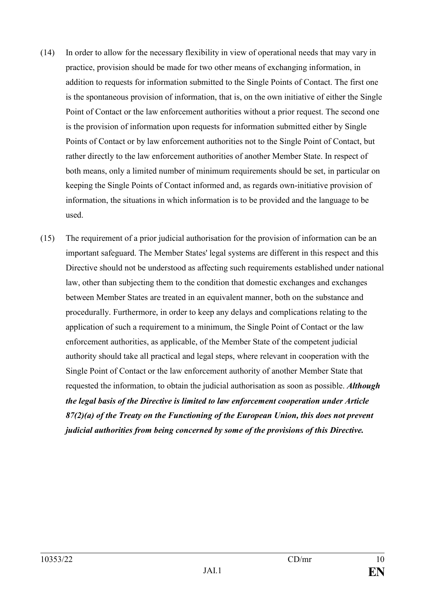- (14) In order to allow for the necessary flexibility in view of operational needs that may vary in practice, provision should be made for two other means of exchanging information, in addition to requests for information submitted to the Single Points of Contact. The first one is the spontaneous provision of information, that is, on the own initiative of either the Single Point of Contact or the law enforcement authorities without a prior request. The second one is the provision of information upon requests for information submitted either by Single Points of Contact or by law enforcement authorities not to the Single Point of Contact, but rather directly to the law enforcement authorities of another Member State. In respect of both means, only a limited number of minimum requirements should be set, in particular on keeping the Single Points of Contact informed and, as regards own-initiative provision of information, the situations in which information is to be provided and the language to be used.
- (15) The requirement of a prior judicial authorisation for the provision of information can be an important safeguard. The Member States' legal systems are different in this respect and this Directive should not be understood as affecting such requirements established under national law, other than subjecting them to the condition that domestic exchanges and exchanges between Member States are treated in an equivalent manner, both on the substance and procedurally. Furthermore, in order to keep any delays and complications relating to the application of such a requirement to a minimum, the Single Point of Contact or the law enforcement authorities, as applicable, of the Member State of the competent judicial authority should take all practical and legal steps, where relevant in cooperation with the Single Point of Contact or the law enforcement authority of another Member State that requested the information, to obtain the judicial authorisation as soon as possible. *Although the legal basis of the Directive is limited to law enforcement cooperation under Article 87(2)(a) of the Treaty on the Functioning of the European Union, this does not prevent judicial authorities from being concerned by some of the provisions of this Directive.*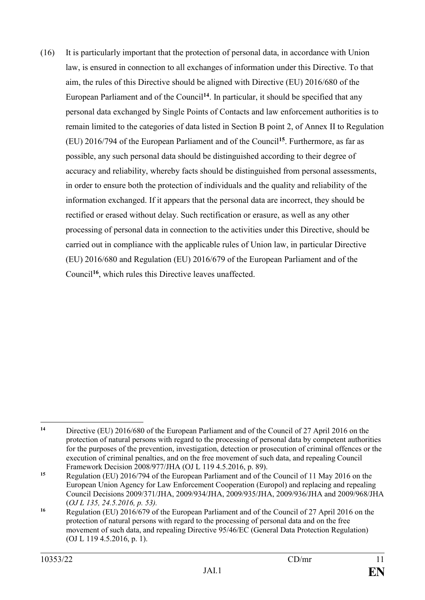(16) It is particularly important that the protection of personal data, in accordance with Union law, is ensured in connection to all exchanges of information under this Directive. To that aim, the rules of this Directive should be aligned with Directive (EU) 2016/680 of the European Parliament and of the Council**<sup>14</sup>**. In particular, it should be specified that any personal data exchanged by Single Points of Contacts and law enforcement authorities is to remain limited to the categories of data listed in Section B point 2, of Annex II to Regulation (EU) 2016/794 of the European Parliament and of the Council**<sup>15</sup>**. Furthermore, as far as possible, any such personal data should be distinguished according to their degree of accuracy and reliability, whereby facts should be distinguished from personal assessments, in order to ensure both the protection of individuals and the quality and reliability of the information exchanged. If it appears that the personal data are incorrect, they should be rectified or erased without delay. Such rectification or erasure, as well as any other processing of personal data in connection to the activities under this Directive, should be carried out in compliance with the applicable rules of Union law, in particular Directive (EU) 2016/680 and Regulation (EU) 2016/679 of the European Parliament and of the Council**<sup>16</sup>**, which rules this Directive leaves unaffected.

 $14$ **<sup>14</sup>** Directive (EU) 2016/680 of the European Parliament and of the Council of 27 April 2016 on the protection of natural persons with regard to the processing of personal data by competent authorities for the purposes of the prevention, investigation, detection or prosecution of criminal offences or the execution of criminal penalties, and on the free movement of such data, and repealing Council Framework Decision 2008/977/JHA (OJ L 119 4.5.2016, p. 89).

**<sup>15</sup>** Regulation (EU) 2016/794 of the European Parliament and of the Council of 11 May 2016 on the European Union Agency for Law Enforcement Cooperation (Europol) and replacing and repealing Council Decisions 2009/371/JHA, 2009/934/JHA, 2009/935/JHA, 2009/936/JHA and 2009/968/JHA (*OJ L 135, 24.5.2016, p. 53).*

<sup>&</sup>lt;sup>16</sup> Regulation (EU) 2016/679 of the European Parliament and of the Council of 27 April 2016 on the protection of natural persons with regard to the processing of personal data and on the free movement of such data, and repealing Directive 95/46/EC (General Data Protection Regulation) (OJ L 119 4.5.2016, p. 1).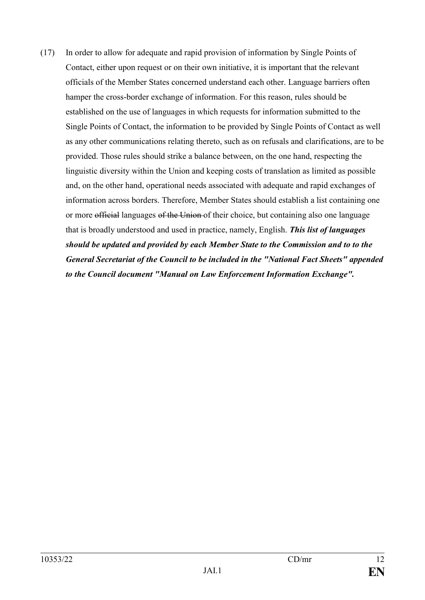(17) In order to allow for adequate and rapid provision of information by Single Points of Contact, either upon request or on their own initiative, it is important that the relevant officials of the Member States concerned understand each other. Language barriers often hamper the cross-border exchange of information. For this reason, rules should be established on the use of languages in which requests for information submitted to the Single Points of Contact, the information to be provided by Single Points of Contact as well as any other communications relating thereto, such as on refusals and clarifications, are to be provided. Those rules should strike a balance between, on the one hand, respecting the linguistic diversity within the Union and keeping costs of translation as limited as possible and, on the other hand, operational needs associated with adequate and rapid exchanges of information across borders. Therefore, Member States should establish a list containing one or more official languages of the Union of their choice, but containing also one language that is broadly understood and used in practice, namely, English. *This list of languages should be updated and provided by each Member State to the Commission and to to the General Secretariat of the Council to be included in the "National Fact Sheets" appended to the Council document "Manual on Law Enforcement Information Exchange".*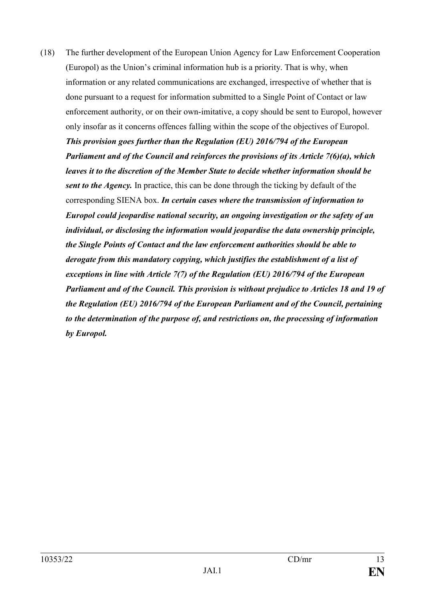(18) The further development of the European Union Agency for Law Enforcement Cooperation (Europol) as the Union's criminal information hub is a priority. That is why, when information or any related communications are exchanged, irrespective of whether that is done pursuant to a request for information submitted to a Single Point of Contact or law enforcement authority, or on their own-imitative, a copy should be sent to Europol, however only insofar as it concerns offences falling within the scope of the objectives of Europol. *This provision goes further than the Regulation (EU) 2016/794 of the European Parliament and of the Council and reinforces the provisions of its Article 7(6)(a), which leaves it to the discretion of the Member State to decide whether information should be sent to the Agency.* In practice, this can be done through the ticking by default of the corresponding SIENA box. *In certain cases where the transmission of information to Europol could jeopardise national security, an ongoing investigation or the safety of an individual, or disclosing the information would jeopardise the data ownership principle, the Single Points of Contact and the law enforcement authorities should be able to derogate from this mandatory copying, which justifies the establishment of a list of exceptions in line with Article 7(7) of the Regulation (EU) 2016/794 of the European Parliament and of the Council. This provision is without prejudice to Articles 18 and 19 of the Regulation (EU) 2016/794 of the European Parliament and of the Council, pertaining to the determination of the purpose of, and restrictions on, the processing of information by Europol.*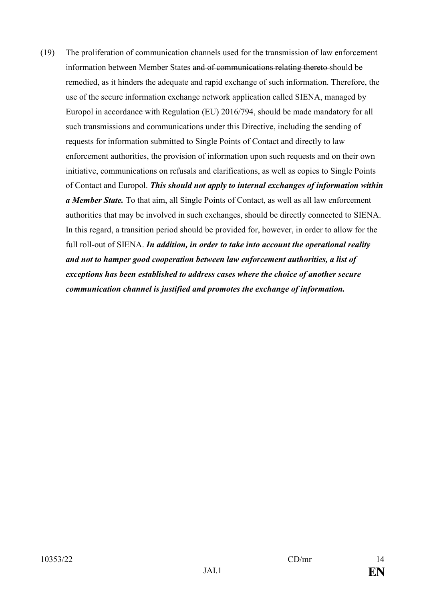(19) The proliferation of communication channels used for the transmission of law enforcement information between Member States and of communications relating thereto should be remedied, as it hinders the adequate and rapid exchange of such information. Therefore, the use of the secure information exchange network application called SIENA, managed by Europol in accordance with Regulation (EU) 2016/794, should be made mandatory for all such transmissions and communications under this Directive, including the sending of requests for information submitted to Single Points of Contact and directly to law enforcement authorities, the provision of information upon such requests and on their own initiative, communications on refusals and clarifications, as well as copies to Single Points of Contact and Europol. *This should not apply to internal exchanges of information within a Member State.* To that aim, all Single Points of Contact, as well as all law enforcement authorities that may be involved in such exchanges, should be directly connected to SIENA. In this regard, a transition period should be provided for, however, in order to allow for the full roll-out of SIENA. *In addition, in order to take into account the operational reality and not to hamper good cooperation between law enforcement authorities, a list of exceptions has been established to address cases where the choice of another secure communication channel is justified and promotes the exchange of information.*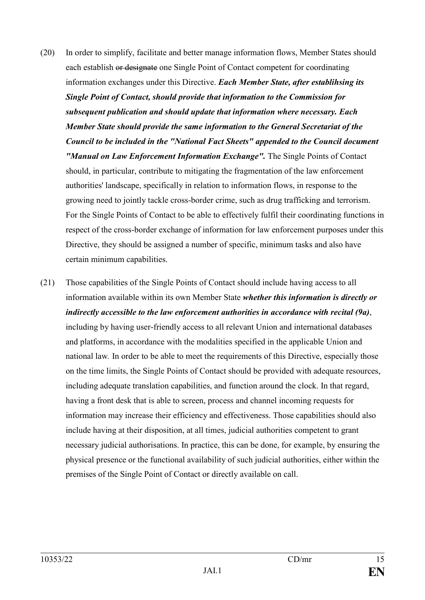- (20) In order to simplify, facilitate and better manage information flows, Member States should each establish or designate one Single Point of Contact competent for coordinating information exchanges under this Directive. *Each Member State, after establihsing its Single Point of Contact, should provide that information to the Commission for subsequent publication and should update that information where necessary. Each Member State should provide the same information to the General Secretariat of the Council to be included in the "National Fact Sheets" appended to the Council document "Manual on Law Enforcement Information Exchange".* The Single Points of Contact should, in particular, contribute to mitigating the fragmentation of the law enforcement authorities' landscape, specifically in relation to information flows, in response to the growing need to jointly tackle cross-border crime, such as drug trafficking and terrorism. For the Single Points of Contact to be able to effectively fulfil their coordinating functions in respect of the cross-border exchange of information for law enforcement purposes under this Directive, they should be assigned a number of specific, minimum tasks and also have certain minimum capabilities.
- (21) Those capabilities of the Single Points of Contact should include having access to all information available within its own Member State *whether this information is directly or indirectly accessible to the law enforcement authorities in accordance with recital (9a)*, including by having user-friendly access to all relevant Union and international databases and platforms, in accordance with the modalities specified in the applicable Union and national law*.* In order to be able to meet the requirements of this Directive, especially those on the time limits, the Single Points of Contact should be provided with adequate resources, including adequate translation capabilities, and function around the clock. In that regard, having a front desk that is able to screen, process and channel incoming requests for information may increase their efficiency and effectiveness. Those capabilities should also include having at their disposition, at all times, judicial authorities competent to grant necessary judicial authorisations. In practice, this can be done, for example, by ensuring the physical presence or the functional availability of such judicial authorities, either within the premises of the Single Point of Contact or directly available on call.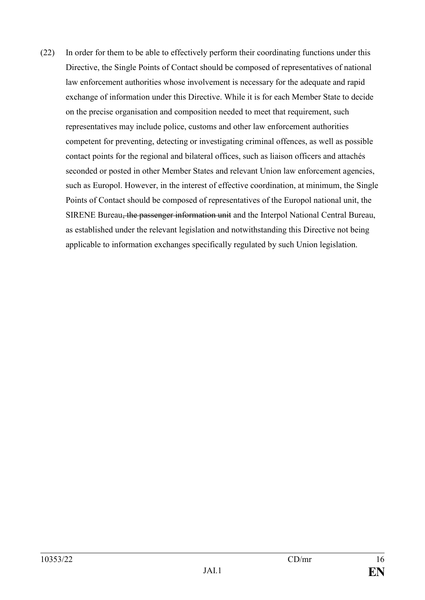(22) In order for them to be able to effectively perform their coordinating functions under this Directive, the Single Points of Contact should be composed of representatives of national law enforcement authorities whose involvement is necessary for the adequate and rapid exchange of information under this Directive. While it is for each Member State to decide on the precise organisation and composition needed to meet that requirement, such representatives may include police, customs and other law enforcement authorities competent for preventing, detecting or investigating criminal offences, as well as possible contact points for the regional and bilateral offices, such as liaison officers and attachés seconded or posted in other Member States and relevant Union law enforcement agencies, such as Europol. However, in the interest of effective coordination, at minimum, the Single Points of Contact should be composed of representatives of the Europol national unit, the SIRENE Bureau, the passenger information unit and the Interpol National Central Bureau, as established under the relevant legislation and notwithstanding this Directive not being applicable to information exchanges specifically regulated by such Union legislation.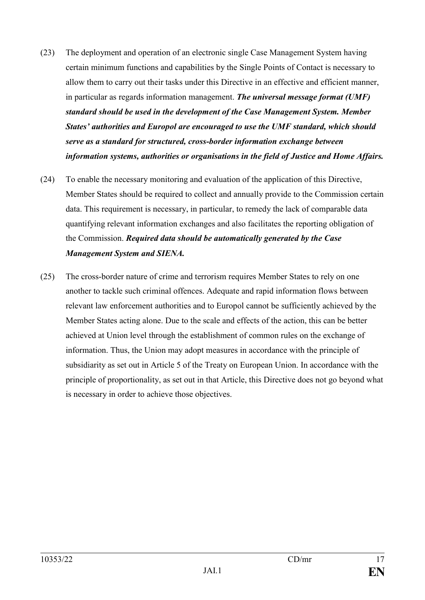- (23) The deployment and operation of an electronic single Case Management System having certain minimum functions and capabilities by the Single Points of Contact is necessary to allow them to carry out their tasks under this Directive in an effective and efficient manner, in particular as regards information management. *The universal message format (UMF) standard should be used in the development of the Case Management System. Member States' authorities and Europol are encouraged to use the UMF standard, which should serve as a standard for structured, cross-border information exchange between information systems, authorities or organisations in the field of Justice and Home Affairs.*
- (24) To enable the necessary monitoring and evaluation of the application of this Directive, Member States should be required to collect and annually provide to the Commission certain data. This requirement is necessary, in particular, to remedy the lack of comparable data quantifying relevant information exchanges and also facilitates the reporting obligation of the Commission. *Required data should be automatically generated by the Case Management System and SIENA.*
- (25) The cross-border nature of crime and terrorism requires Member States to rely on one another to tackle such criminal offences. Adequate and rapid information flows between relevant law enforcement authorities and to Europol cannot be sufficiently achieved by the Member States acting alone. Due to the scale and effects of the action, this can be better achieved at Union level through the establishment of common rules on the exchange of information. Thus, the Union may adopt measures in accordance with the principle of subsidiarity as set out in Article 5 of the Treaty on European Union. In accordance with the principle of proportionality, as set out in that Article, this Directive does not go beyond what is necessary in order to achieve those objectives.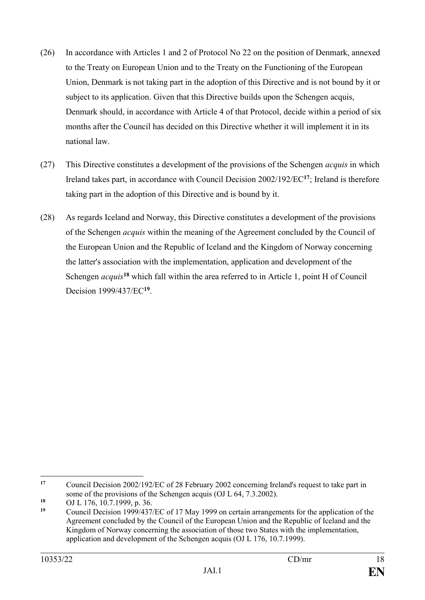- (26) In accordance with Articles 1 and 2 of Protocol No 22 on the position of Denmark, annexed to the Treaty on European Union and to the Treaty on the Functioning of the European Union, Denmark is not taking part in the adoption of this Directive and is not bound by it or subject to its application. Given that this Directive builds upon the Schengen acquis, Denmark should, in accordance with Article 4 of that Protocol, decide within a period of six months after the Council has decided on this Directive whether it will implement it in its national law.
- (27) This Directive constitutes a development of the provisions of the Schengen *acquis* in which Ireland takes part, in accordance with Council Decision 2002/192/EC**<sup>17</sup>**; Ireland is therefore taking part in the adoption of this Directive and is bound by it.
- (28) As regards Iceland and Norway, this Directive constitutes a development of the provisions of the Schengen *acquis* within the meaning of the Agreement concluded by the Council of the European Union and the Republic of Iceland and the Kingdom of Norway concerning the latter's association with the implementation, application and development of the Schengen *acquis***<sup>18</sup>** which fall within the area referred to in Article 1, point H of Council Decision 1999/437/EC**<sup>19</sup>** .

 $17$ **<sup>17</sup>** Council Decision 2002/192/EC of 28 February 2002 concerning Ireland's request to take part in some of the provisions of the Schengen acquis (OJ L 64, 7.3.2002).

<sup>18</sup> OJ L 176, 10.7.1999, p. 36.

**<sup>19</sup>** Council Decision 1999/437/EC of 17 May 1999 on certain arrangements for the application of the Agreement concluded by the Council of the European Union and the Republic of Iceland and the Kingdom of Norway concerning the association of those two States with the implementation, application and development of the Schengen acquis (OJ L 176, 10.7.1999).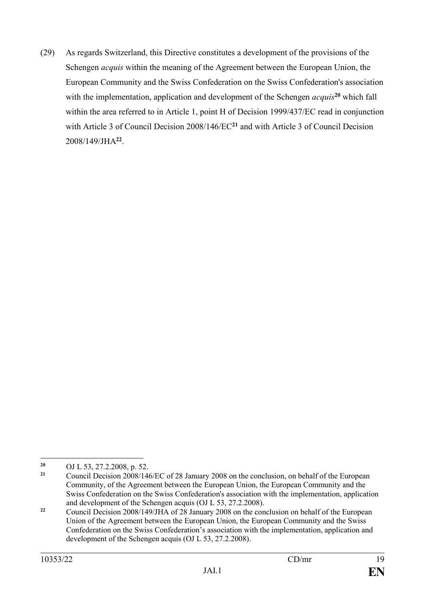(29) As regards Switzerland, this Directive constitutes a development of the provisions of the Schengen *acquis* within the meaning of the Agreement between the European Union, the European Community and the Swiss Confederation on the Swiss Confederation's association with the implementation, application and development of the Schengen *acquis*<sup>20</sup> which fall within the area referred to in Article 1, point H of Decision 1999/437/EC read in conjunction with Article 3 of Council Decision 2008/146/EC**<sup>21</sup>** and with Article 3 of Council Decision 2008/149/JHA**<sup>22</sup>** .

 $20$ <sup>20</sup> OJ L 53, 27.2.2008, p. 52.<br><sup>21</sup> Council Decision 2008/14

**<sup>21</sup>** Council Decision 2008/146/EC of 28 January 2008 on the conclusion, on behalf of the European Community, of the Agreement between the European Union, the European Community and the Swiss Confederation on the Swiss Confederation's association with the implementation, application and development of the Schengen acquis (OJ L 53, 27.2.2008).

<sup>&</sup>lt;sup>22</sup> Council Decision 2008/149/JHA of 28 January 2008 on the conclusion on behalf of the European Union of the Agreement between the European Union, the European Community and the Swiss Confederation on the Swiss Confederation's association with the implementation, application and development of the Schengen acquis (OJ L 53, 27.2.2008).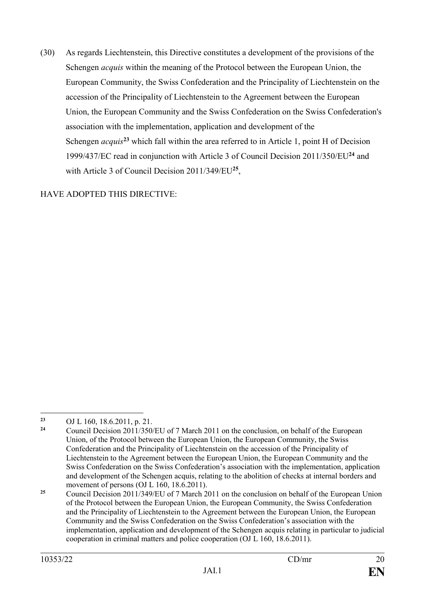(30) As regards Liechtenstein, this Directive constitutes a development of the provisions of the Schengen *acquis* within the meaning of the Protocol between the European Union, the European Community, the Swiss Confederation and the Principality of Liechtenstein on the accession of the Principality of Liechtenstein to the Agreement between the European Union, the European Community and the Swiss Confederation on the Swiss Confederation's association with the implementation, application and development of the Schengen *acquis***<sup>23</sup>** which fall within the area referred to in Article 1, point H of Decision 1999/437/EC read in conjunction with Article 3 of Council Decision 2011/350/EU**<sup>24</sup>** and with Article 3 of Council Decision 2011/349/EU**<sup>25</sup>** ,

HAVE ADOPTED THIS DIRECTIVE:

<sup>1</sup> **<sup>23</sup>** OJ L 160, 18.6.2011, p. 21.

**<sup>24</sup>** Council Decision 2011/350/EU of 7 March 2011 on the conclusion, on behalf of the European Union, of the Protocol between the European Union, the European Community, the Swiss Confederation and the Principality of Liechtenstein on the accession of the Principality of Liechtenstein to the Agreement between the European Union, the European Community and the Swiss Confederation on the Swiss Confederation's association with the implementation, application and development of the Schengen acquis, relating to the abolition of checks at internal borders and movement of persons (OJ L 160, 18.6.2011).

<sup>&</sup>lt;sup>25</sup> Council Decision 2011/349/EU of 7 March 2011 on the conclusion on behalf of the European Union of the Protocol between the European Union, the European Community, the Swiss Confederation and the Principality of Liechtenstein to the Agreement between the European Union, the European Community and the Swiss Confederation on the Swiss Confederation's association with the implementation, application and development of the Schengen acquis relating in particular to judicial cooperation in criminal matters and police cooperation (OJ L 160, 18.6.2011).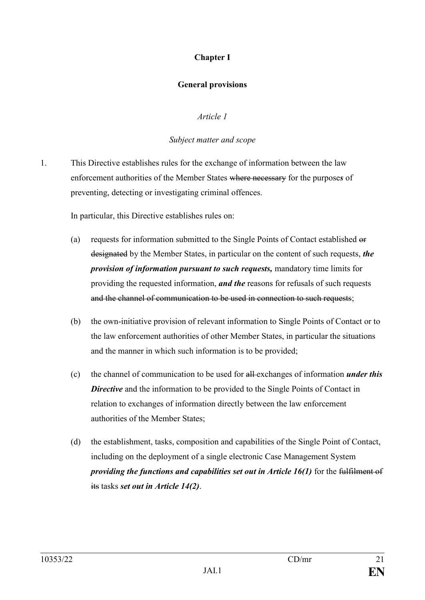# **Chapter I**

## **General provisions**

## *Article 1*

## *Subject matter and scope*

1. This Directive establishes rules for the exchange of information between the law enforcement authorities of the Member States where necessary for the purpose*s* of preventing, detecting or investigating criminal offences.

In particular, this Directive establishes rules on:

- (a) requests for information submitted to the Single Points of Contact established or designated by the Member States, in particular on the content of such requests, *the provision of information pursuant to such requests,* mandatory time limits for providing the requested information, *and the* reasons for refusals of such requests and the channel of communication to be used in connection to such requests;
- (b) the own-initiative provision of relevant information to Single Points of Contact or to the law enforcement authorities of other Member States, in particular the situations and the manner in which such information is to be provided;
- (c) the channel of communication to be used for all exchanges of information *under this*  **Directive** and the information to be provided to the Single Points of Contact in relation to exchanges of information directly between the law enforcement authorities of the Member States;
- (d) the establishment, tasks, composition and capabilities of the Single Point of Contact, including on the deployment of a single electronic Case Management System *providing the functions and capabilities set out in Article 16(1)* for the fulfilment of its tasks *set out in Article 14(2)*.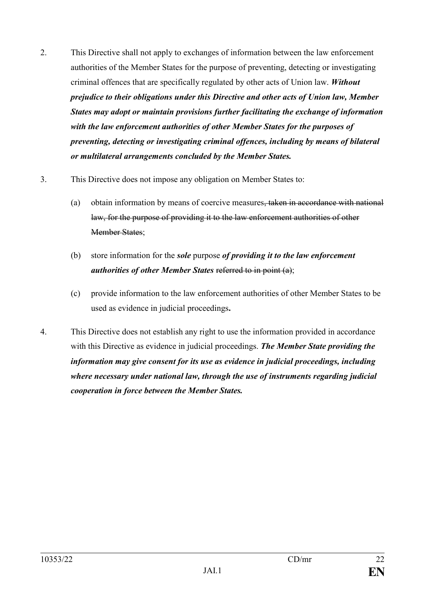- 2. This Directive shall not apply to exchanges of information between the law enforcement authorities of the Member States for the purpose of preventing, detecting or investigating criminal offences that are specifically regulated by other acts of Union law. *Without prejudice to their obligations under this Directive and other acts of Union law, Member States may adopt or maintain provisions further facilitating the exchange of information with the law enforcement authorities of other Member States for the purposes of preventing, detecting or investigating criminal offences, including by means of bilateral or multilateral arrangements concluded by the Member States.*
- 3. This Directive does not impose any obligation on Member States to:
	- (a) obtain information by means of coercive measures, taken in accordance with national law, for the purpose of providing it to the law enforcement authorities of other Member States;
	- (b) store information for the *sole* purpose *of providing it to the law enforcement authorities of other Member States* referred to in point (a);
	- (c) provide information to the law enforcement authorities of other Member States to be used as evidence in judicial proceedings**.**
- 4. This Directive does not establish any right to use the information provided in accordance with this Directive as evidence in judicial proceedings. *The Member State providing the information may give consent for its use as evidence in judicial proceedings, including where necessary under national law, through the use of instruments regarding judicial cooperation in force between the Member States.*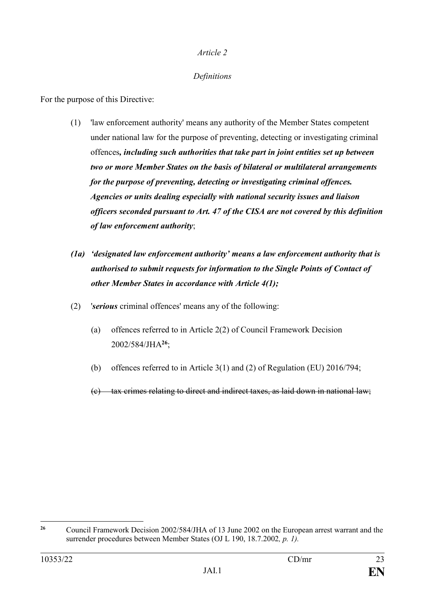## *Definitions*

For the purpose of this Directive:

- (1) 'law enforcement authority' means any authority of the Member States competent under national law for the purpose of preventing, detecting or investigating criminal offences*, including such authorities that take part in joint entities set up between two or more Member States on the basis of bilateral or multilateral arrangements for the purpose of preventing, detecting or investigating criminal offences. Agencies or units dealing especially with national security issues and liaison officers seconded pursuant to Art. 47 of the CISA are not covered by this definition of law enforcement authority*;
- *(1a) 'designated law enforcement authority' means a law enforcement authority that is authorised to submit requests for information to the Single Points of Contact of other Member States in accordance with Article 4(1);*
- (2) '*serious* criminal offences' means any of the following:
	- (a) offences referred to in Article 2(2) of Council Framework Decision 2002/584/JHA**<sup>26</sup>**;
	- (b) offences referred to in Article 3(1) and (2) of Regulation (EU) 2016/794;

(c) tax crimes relating to direct and indirect taxes, as laid down in national law;

 $26$ **<sup>26</sup>** Council Framework Decision 2002/584/JHA of 13 June 2002 on the European arrest warrant and the surrender procedures between Member States (OJ L 190, 18.7.2002*, p. 1).*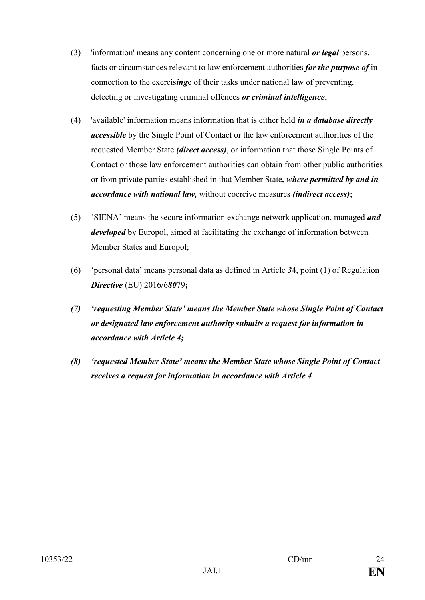- (3) 'information' means any content concerning one or more natural *or legal* persons, facts or circumstances relevant to law enforcement authorities *for the purpose of* in connection to the exercis*ing*e of their tasks under national law of preventing, detecting or investigating criminal offences *or criminal intelligence*;
- (4) 'available' information means information that is either held *in a database directly accessible* by the Single Point of Contact or the law enforcement authorities of the requested Member State *(direct access)*, or information that those Single Points of Contact or those law enforcement authorities can obtain from other public authorities or from private parties established in that Member State*, where permitted by and in accordance with national law,* without coercive measures *(indirect access)*;
- (5) 'SIENA' means the secure information exchange network application, managed *and developed* by Europol, aimed at facilitating the exchange of information between Member States and Europol;
- (6) 'personal data' means personal data as defined in Article *3*4, point (1) of Regulation *Directive* (EU) 2016/6*80*79**;**
- *(7) 'requesting Member State' means the Member State whose Single Point of Contact or designated law enforcement authority submits a request for information in accordance with Article 4;*
- *(8) 'requested Member State' means the Member State whose Single Point of Contact receives a request for information in accordance with Article 4*.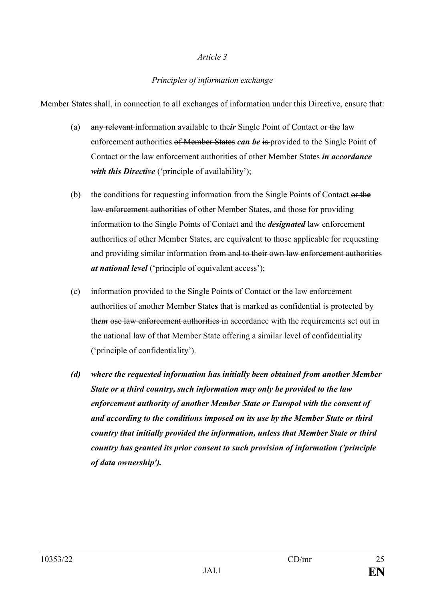## *Principles of information exchange*

Member States shall, in connection to all exchanges of information under this Directive, ensure that:

- (a) any relevant information available to the*ir* Single Point of Contact or the law enforcement authorities of Member States *can be* is provided to the Single Point of Contact or the law enforcement authorities of other Member States *in accordance with this Directive* ('principle of availability');
- (b) the conditions for requesting information from the Single Point**s** of Contact or the law enforcement authorities of other Member States, and those for providing information to the Single Points of Contact and the *designated* law enforcement authorities of other Member States, are equivalent to those applicable for requesting and providing similar information from and to their own law enforcement authorities *at national level* ('principle of equivalent access');
- (c) information provided to the Single Point**s** of Contact or the law enforcement authorities of another Member State**s** that is marked as confidential is protected by them ose law enforcement authorities in accordance with the requirements set out in the national law of that Member State offering a similar level of confidentiality ('principle of confidentiality').
- *(d) where the requested information has initially been obtained from another Member State or a third country, such information may only be provided to the law enforcement authority of another Member State or Europol with the consent of and according to the conditions imposed on its use by the Member State or third country that initially provided the information, unless that Member State or third country has granted its prior consent to such provision of information ('principle of data ownership').*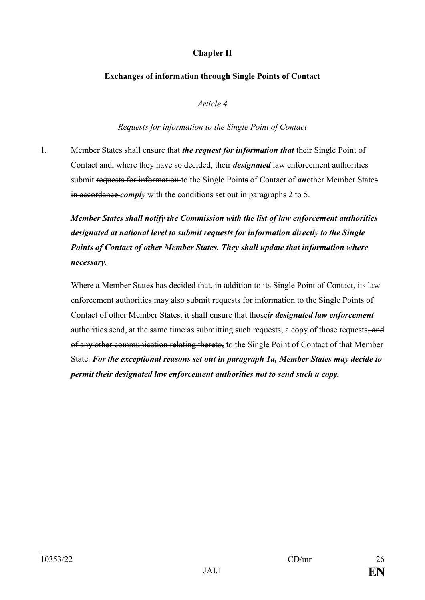# **Chapter II**

### **Exchanges of information through Single Points of Contact**

*Article 4*

*Requests for information to the Single Point of Contact* 

1. Member States shall ensure that *the request for information that* their Single Point of Contact and, where they have so decided, their *designated* law enforcement authorities submit requests for information to the Single Points of Contact of *an*other Member States in accordance *comply* with the conditions set out in paragraphs 2 to 5.

*Member States shall notify the Commission with the list of law enforcement authorities designated at national level to submit requests for information directly to the Single Points of Contact of other Member States. They shall update that information where necessary.* 

Where a Member State*s* has decided that, in addition to its Single Point of Contact, its law enforcement authorities may also submit requests for information to the Single Points of Contact of other Member States, it shall ensure that those*ir designated law enforcement* authorities send, at the same time as submitting such requests, a copy of those requests, and of any other communication relating thereto, to the Single Point of Contact of that Member State. *For the exceptional reasons set out in paragraph 1a, Member States may decide to permit their designated law enforcement authorities not to send such a copy.*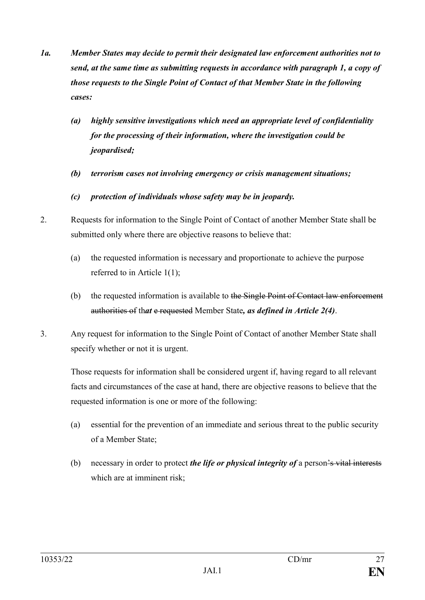- *1a. Member States may decide to permit their designated law enforcement authorities not to send, at the same time as submitting requests in accordance with paragraph 1, a copy of those requests to the Single Point of Contact of that Member State in the following cases:*
	- *(a) highly sensitive investigations which need an appropriate level of confidentiality for the processing of their information, where the investigation could be jeopardised;*
	- *(b) terrorism cases not involving emergency or crisis management situations;*
	- *(c) protection of individuals whose safety may be in jeopardy.*
- 2. Requests for information to the Single Point of Contact of another Member State shall be submitted only where there are objective reasons to believe that:
	- (a) the requested information is necessary and proportionate to achieve the purpose referred to in Article 1(1);
	- (b) the requested information is available to the Single Point of Contact law enforcement authorities of th*at* e requested Member State*, as defined in Article 2(4)*.
- 3. Any request for information to the Single Point of Contact of another Member State shall specify whether or not it is urgent.

Those requests for information shall be considered urgent if, having regard to all relevant facts and circumstances of the case at hand, there are objective reasons to believe that the requested information is one or more of the following:

- (a) essential for the prevention of an immediate and serious threat to the public security of a Member State;
- (b) necessary in order to protect *the life or physical integrity of* a person's vital interests which are at imminent risk;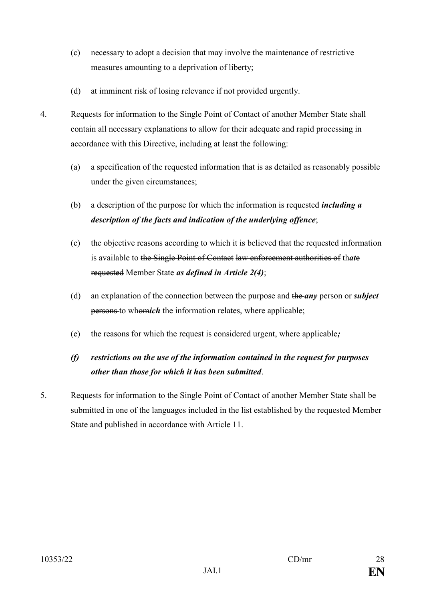- (c) necessary to adopt a decision that may involve the maintenance of restrictive measures amounting to a deprivation of liberty;
- (d) at imminent risk of losing relevance if not provided urgently.
- 4. Requests for information to the Single Point of Contact of another Member State shall contain all necessary explanations to allow for their adequate and rapid processing in accordance with this Directive, including at least the following:
	- (a) a specification of the requested information that is as detailed as reasonably possible under the given circumstances;
	- (b) a description of the purpose for which the information is requested *including a description of the facts and indication of the underlying offence*;
	- (c) the objective reasons according to which it is believed that the requested information is available to the Single Point of Contact law enforcement authorities of th*at*e requested Member State *as defined in Article 2(4)*;
	- (d) an explanation of the connection between the purpose and the *any* person or *subject* persons to whom*ich* the information relates, where applicable;
	- (e) the reasons for which the request is considered urgent, where applicable*;*

# *(f) restrictions on the use of the information contained in the request for purposes other than those for which it has been submitted*.

5. Requests for information to the Single Point of Contact of another Member State shall be submitted in one of the languages included in the list established by the requested Member State and published in accordance with Article 11.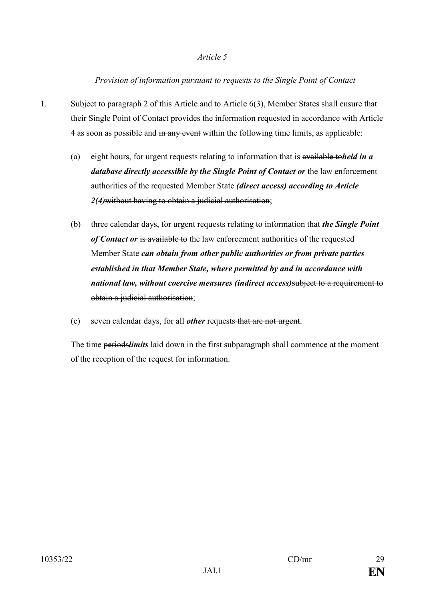## *Provision of information pursuant to requests to the Single Point of Contact*

- 1. Subject to paragraph 2 of this Article and to Article 6(3), Member States shall ensure that their Single Point of Contact provides the information requested in accordance with Article 4 as soon as possible and in any event within the following time limits, as applicable:
	- (a) eight hours, for urgent requests relating to information that is available to*held in a database directly accessible by the Single Point of Contact or* the law enforcement authorities of the requested Member State *(direct access) according to Article 2(4)*without having to obtain a judicial authorisation;
	- (b) three calendar days, for urgent requests relating to information that *the Single Point of Contact or* is available to the law enforcement authorities of the requested Member State *can obtain from other public authorities or from private parties established in that Member State, where permitted by and in accordance with national law, without coercive measures (indirect access)*subject to a requirement to obtain a judicial authorisation;
	- (c) seven calendar days, for all *other* requests that are not urgent.

The time periods*limits* laid down in the first subparagraph shall commence at the moment of the reception of the request for information.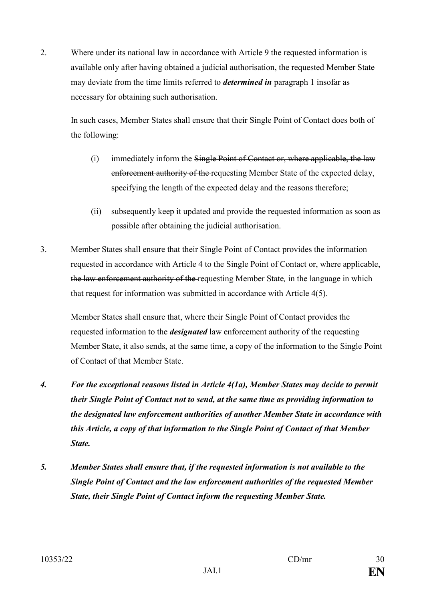2. Where under its national law in accordance with Article 9 the requested information is available only after having obtained a judicial authorisation, the requested Member State may deviate from the time limits referred to *determined in* paragraph 1 insofar as necessary for obtaining such authorisation.

In such cases, Member States shall ensure that their Single Point of Contact does both of the following:

- (i) immediately inform the Single Point of Contact or, where applicable, the law enforcement authority of the requesting Member State of the expected delay, specifying the length of the expected delay and the reasons therefore;
- (ii) subsequently keep it updated and provide the requested information as soon as possible after obtaining the judicial authorisation.
- 3. Member States shall ensure that their Single Point of Contact provides the information requested in accordance with Article 4 to the Single Point of Contact or, where applicable, the law enforcement authority of the requesting Member State*,* in the language in which that request for information was submitted in accordance with Article 4(5).

Member States shall ensure that, where their Single Point of Contact provides the requested information to the *designated* law enforcement authority of the requesting Member State, it also sends, at the same time, a copy of the information to the Single Point of Contact of that Member State.

- *4. For the exceptional reasons listed in Article 4(1a), Member States may decide to permit their Single Point of Contact not to send, at the same time as providing information to the designated law enforcement authorities of another Member State in accordance with this Article, a copy of that information to the Single Point of Contact of that Member State.*
- *5. Member States shall ensure that, if the requested information is not available to the Single Point of Contact and the law enforcement authorities of the requested Member State, their Single Point of Contact inform the requesting Member State.*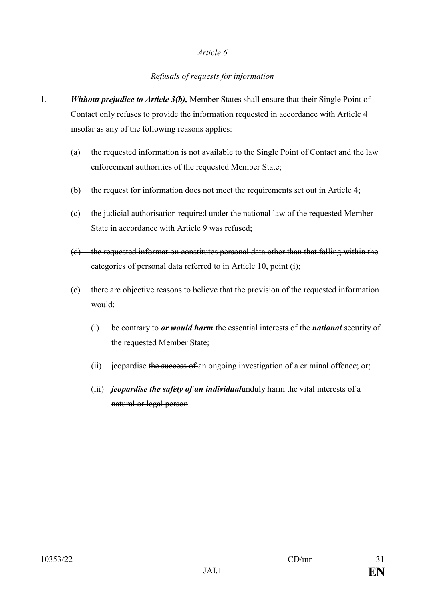## *Refusals of requests for information*

- 1. *Without prejudice to Article 3(b),* Member States shall ensure that their Single Point of Contact only refuses to provide the information requested in accordance with Article 4 insofar as any of the following reasons applies:
	- (a) the requested information is not available to the Single Point of Contact and the law enforcement authorities of the requested Member State;
	- (b) the request for information does not meet the requirements set out in Article 4;
	- (c) the judicial authorisation required under the national law of the requested Member State in accordance with Article 9 was refused;
	- (d) the requested information constitutes personal data other than that falling within the categories of personal data referred to in Article 10, point (i);
	- (e) there are objective reasons to believe that the provision of the requested information would:
		- (i) be contrary to *or would harm* the essential interests of the *national* security of the requested Member State;
		- (ii) jeopardise the success of an ongoing investigation of a criminal offence; or;
		- (iii) *jeopardise the safety of an individual*unduly harm the vital interests of a natural or legal person.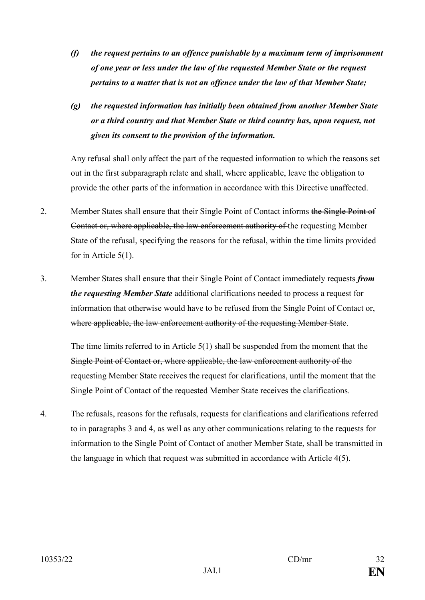- *(f) the request pertains to an offence punishable by a maximum term of imprisonment of one year or less under the law of the requested Member State or the request pertains to a matter that is not an offence under the law of that Member State;*
- *(g) the requested information has initially been obtained from another Member State or a third country and that Member State or third country has, upon request, not given its consent to the provision of the information.*

Any refusal shall only affect the part of the requested information to which the reasons set out in the first subparagraph relate and shall, where applicable, leave the obligation to provide the other parts of the information in accordance with this Directive unaffected.

- 2. Member States shall ensure that their Single Point of Contact informs the Single Point of Contact or, where applicable, the law enforcement authority of the requesting Member State of the refusal, specifying the reasons for the refusal, within the time limits provided for in Article 5(1).
- 3. Member States shall ensure that their Single Point of Contact immediately requests *from the requesting Member State* additional clarifications needed to process a request for information that otherwise would have to be refused from the Single Point of Contact or, where applicable, the law enforcement authority of the requesting Member State.

The time limits referred to in Article 5(1) shall be suspended from the moment that the Single Point of Contact or, where applicable, the law enforcement authority of the requesting Member State receives the request for clarifications, until the moment that the Single Point of Contact of the requested Member State receives the clarifications.

4. The refusals, reasons for the refusals, requests for clarifications and clarifications referred to in paragraphs 3 and 4, as well as any other communications relating to the requests for information to the Single Point of Contact of another Member State, shall be transmitted in the language in which that request was submitted in accordance with Article 4(5).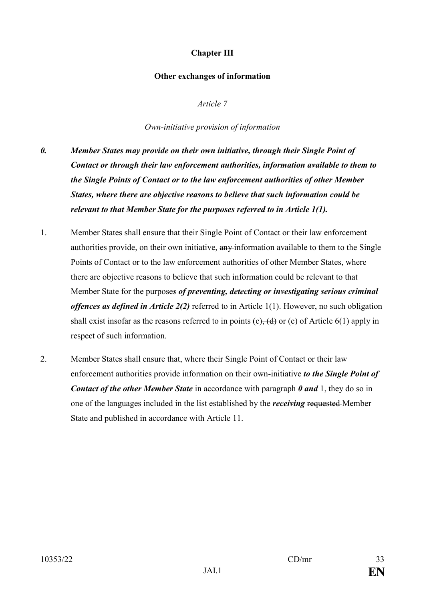# **Chapter III**

#### **Other exchanges of information**

*Article 7*

*Own-initiative provision of information*

- *0. Member States may provide on their own initiative, through their Single Point of Contact or through their law enforcement authorities, information available to them to the Single Points of Contact or to the law enforcement authorities of other Member States, where there are objective reasons to believe that such information could be relevant to that Member State for the purposes referred to in Article 1(1).*
- 1. Member States shall ensure that their Single Point of Contact or their law enforcement authorities provide, on their own initiative,  $an\psi$  information available to them to the Single Points of Contact or to the law enforcement authorities of other Member States, where there are objective reasons to believe that such information could be relevant to that Member State for the purpose*s of preventing, detecting or investigating serious criminal offences as defined in Article 2(2)* referred to in Article 1(1). However, no such obligation shall exist insofar as the reasons referred to in points  $(c)$ ,  $(d)$  or  $(e)$  of Article 6(1) apply in respect of such information.
- 2. Member States shall ensure that, where their Single Point of Contact or their law enforcement authorities provide information on their own-initiative *to the Single Point of Contact of the other Member State* in accordance with paragraph *0 and* 1, they do so in one of the languages included in the list established by the *receiving* requested Member State and published in accordance with Article 11.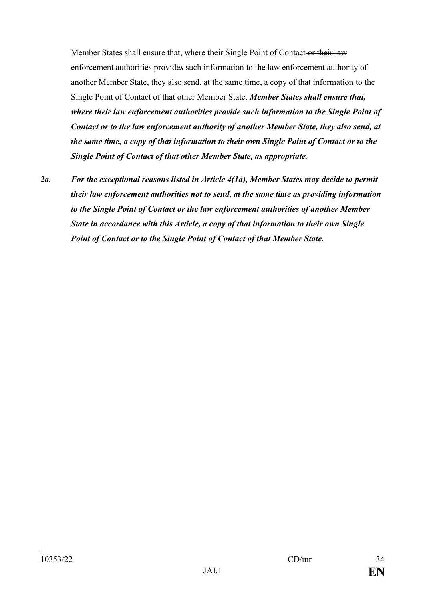Member States shall ensure that, where their Single Point of Contact or their law enforcement authorities provide*s* such information to the law enforcement authority of another Member State, they also send, at the same time, a copy of that information to the Single Point of Contact of that other Member State. *Member States shall ensure that, where their law enforcement authorities provide such information to the Single Point of Contact or to the law enforcement authority of another Member State, they also send, at the same time, a copy of that information to their own Single Point of Contact or to the Single Point of Contact of that other Member State, as appropriate.*

*2a. For the exceptional reasons listed in Article 4(1a), Member States may decide to permit their law enforcement authorities not to send, at the same time as providing information to the Single Point of Contact or the law enforcement authorities of another Member State in accordance with this Article, a copy of that information to their own Single Point of Contact or to the Single Point of Contact of that Member State.*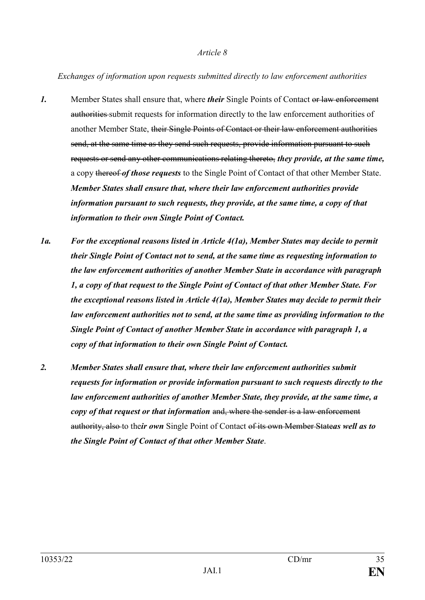*Exchanges of information upon requests submitted directly to law enforcement authorities*

- *1.* Member States shall ensure that, where *their* Single Points of Contact or law enforcement authorities submit requests for information directly to the law enforcement authorities of another Member State, their Single Points of Contact or their law enforcement authorities send, at the same time as they send such requests, provide information pursuant to such requests or send any other communications relating thereto, *they provide, at the same time,* a copy thereof *of those requests* to the Single Point of Contact of that other Member State. *Member States shall ensure that, where their law enforcement authorities provide information pursuant to such requests, they provide, at the same time, a copy of that information to their own Single Point of Contact.*
- *1a. For the exceptional reasons listed in Article 4(1a), Member States may decide to permit their Single Point of Contact not to send, at the same time as requesting information to the law enforcement authorities of another Member State in accordance with paragraph 1, a copy of that request to the Single Point of Contact of that other Member State. For the exceptional reasons listed in Article 4(1a), Member States may decide to permit their law enforcement authorities not to send, at the same time as providing information to the Single Point of Contact of another Member State in accordance with paragraph 1, a copy of that information to their own Single Point of Contact.*
- *2. Member States shall ensure that, where their law enforcement authorities submit requests for information or provide information pursuant to such requests directly to the law enforcement authorities of another Member State, they provide, at the same time, a copy of that request or that information* and, where the sender is a law enforcement authority, also to the*ir own* Single Point of Contact of its own Member State*as well as to the Single Point of Contact of that other Member State*.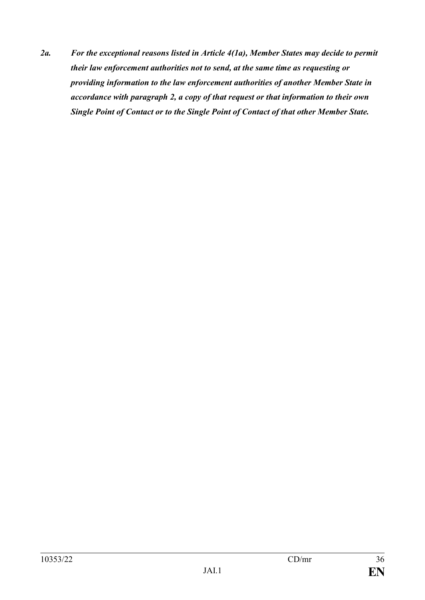*2a. For the exceptional reasons listed in Article 4(1a), Member States may decide to permit their law enforcement authorities not to send, at the same time as requesting or providing information to the law enforcement authorities of another Member State in accordance with paragraph 2, a copy of that request or that information to their own Single Point of Contact or to the Single Point of Contact of that other Member State.*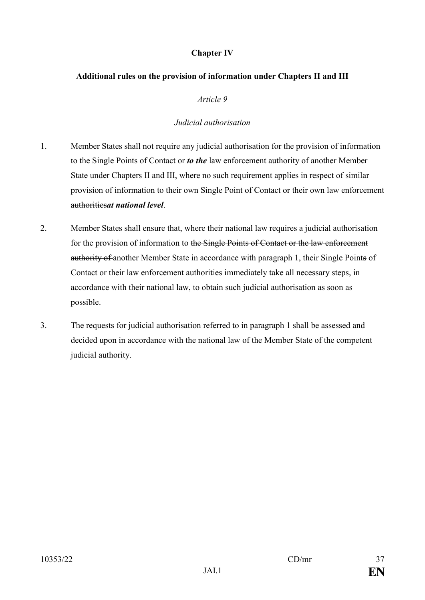## **Chapter IV**

### **Additional rules on the provision of information under Chapters II and III**

*Article 9*

## *Judicial authorisation*

- 1. Member States shall not require any judicial authorisation for the provision of information to the Single Points of Contact or *to the* law enforcement authority of another Member State under Chapters II and III, where no such requirement applies in respect of similar provision of information to their own Single Point of Contact or their own law enforcement authorities*at national level*.
- 2. Member States shall ensure that, where their national law requires a judicial authorisation for the provision of information to the Single Points of Contact or the law enforcement authority of another Member State in accordance with paragraph 1, their Single Points of Contact or their law enforcement authorities immediately take all necessary steps, in accordance with their national law, to obtain such judicial authorisation as soon as possible.
- 3. The requests for judicial authorisation referred to in paragraph 1 shall be assessed and decided upon in accordance with the national law of the Member State of the competent judicial authority.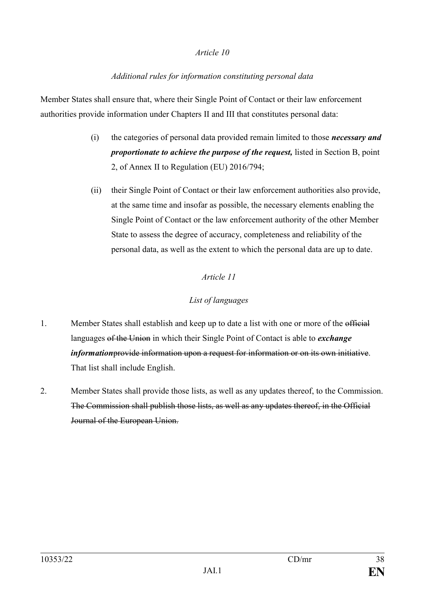# *Additional rules for information constituting personal data*

Member States shall ensure that, where their Single Point of Contact or their law enforcement authorities provide information under Chapters II and III that constitutes personal data:

- (i) the categories of personal data provided remain limited to those *necessary and proportionate to achieve the purpose of the request,* listed in Section B, point 2, of Annex II to Regulation (EU) 2016/794;
- (ii) their Single Point of Contact or their law enforcement authorities also provide, at the same time and insofar as possible, the necessary elements enabling the Single Point of Contact or the law enforcement authority of the other Member State to assess the degree of accuracy, completeness and reliability of the personal data, as well as the extent to which the personal data are up to date.

# *Article 11*

# *List of languages*

- 1. Member States shall establish and keep up to date a list with one or more of the official languages of the Union in which their Single Point of Contact is able to *exchange information*provide information upon a request for information or on its own initiative. That list shall include English.
- 2. Member States shall provide those lists, as well as any updates thereof, to the Commission. The Commission shall publish those lists, as well as any updates thereof, in the Official Journal of the European Union.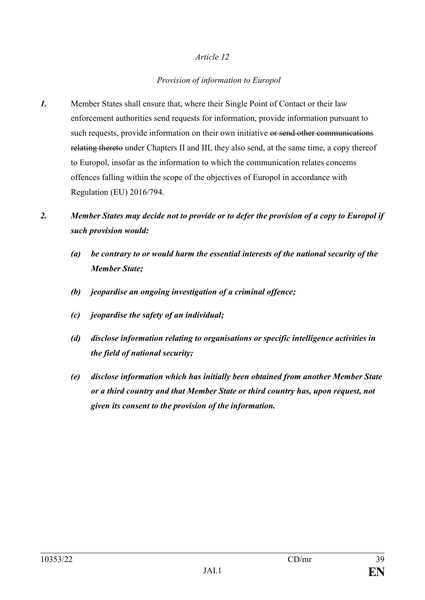# *Provision of information to Europol*

*1.* Member States shall ensure that, where their Single Point of Contact or their law enforcement authorities send requests for information, provide information pursuant to such requests, provide information on their own initiative or send other communications relating thereto under Chapters II and III, they also send, at the same time, a copy thereof to Europol, insofar as the information to which the communication relates concerns offences falling within the scope of the objectives of Europol in accordance with Regulation (EU) 2016/794.

# *2. Member States may decide not to provide or to defer the provision of a copy to Europol if such provision would:*

- *(a) be contrary to or would harm the essential interests of the national security of the Member State;*
- *(b) jeopardise an ongoing investigation of a criminal offence;*
- *(c) jeopardise the safety of an individual;*
- *(d) disclose information relating to organisations or specific intelligence activities in the field of national security;*
- *(e) disclose information which has initially been obtained from another Member State or a third country and that Member State or third country has, upon request, not given its consent to the provision of the information.*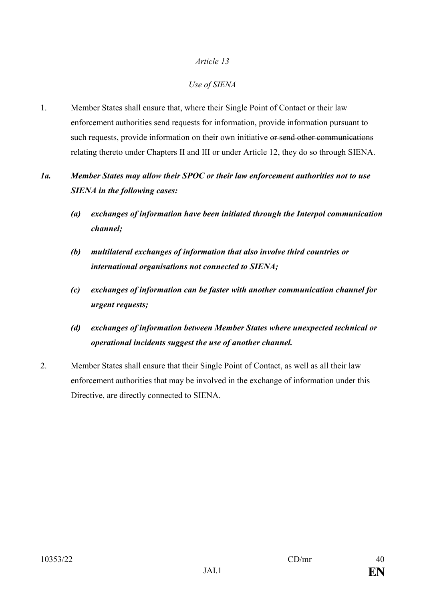# *Use of SIENA*

1. Member States shall ensure that, where their Single Point of Contact or their law enforcement authorities send requests for information, provide information pursuant to such requests, provide information on their own initiative or send other communications relating thereto under Chapters II and III or under Article 12, they do so through SIENA.

# *1a. Member States may allow their SPOC or their law enforcement authorities not to use SIENA in the following cases:*

- *(a) exchanges of information have been initiated through the Interpol communication channel;*
- *(b) multilateral exchanges of information that also involve third countries or international organisations not connected to SIENA;*
- *(c) exchanges of information can be faster with another communication channel for urgent requests;*
- *(d) exchanges of information between Member States where unexpected technical or operational incidents suggest the use of another channel.*
- 2. Member States shall ensure that their Single Point of Contact, as well as all their law enforcement authorities that may be involved in the exchange of information under this Directive, are directly connected to SIENA.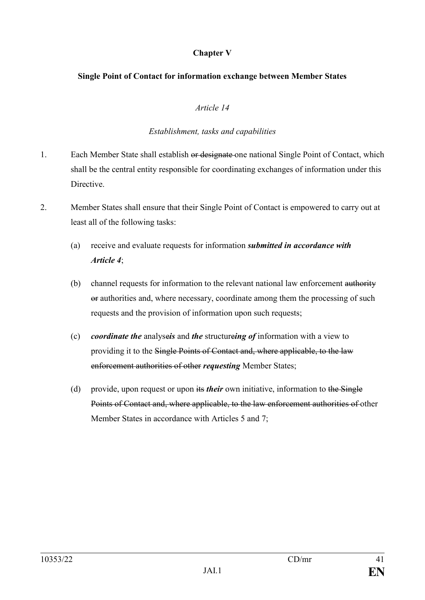# **Chapter V**

### **Single Point of Contact for information exchange between Member States**

### *Article 14*

### *Establishment, tasks and capabilities*

- 1. Each Member State shall establish or designate one national Single Point of Contact, which shall be the central entity responsible for coordinating exchanges of information under this Directive.
- 2. Member States shall ensure that their Single Point of Contact is empowered to carry out at least all of the following tasks:
	- (a) receive and evaluate requests for information *submitted in accordance with Article 4*;
	- (b) channel requests for information to the relevant national law enforcement authority or authorities and, where necessary, coordinate among them the processing of such requests and the provision of information upon such requests;
	- (c) *coordinate the* analyse*is* and *the* structure*ing of* information with a view to providing it to the Single Points of Contact and, where applicable, to the law enforcement authorities of other *requesting* Member States;
	- (d) provide, upon request or upon its *their* own initiative, information to the Single Points of Contact and, where applicable, to the law enforcement authorities of other Member States in accordance with Articles 5 and 7;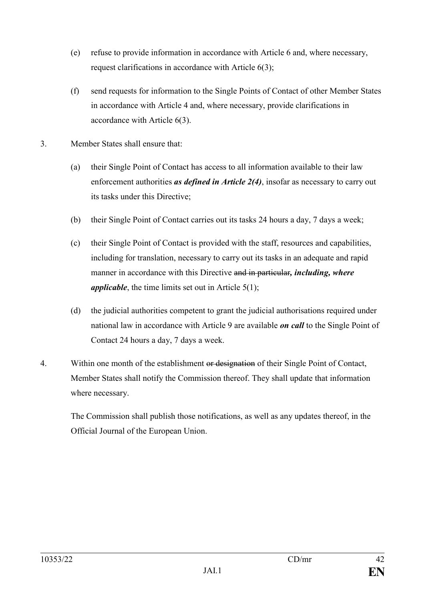- (e) refuse to provide information in accordance with Article 6 and, where necessary, request clarifications in accordance with Article 6(3);
- (f) send requests for information to the Single Points of Contact of other Member States in accordance with Article 4 and, where necessary, provide clarifications in accordance with Article 6(3).
- 3. Member States shall ensure that:
	- (a) their Single Point of Contact has access to all information available to their law enforcement authorities *as defined in Article 2(4)*, insofar as necessary to carry out its tasks under this Directive;
	- (b) their Single Point of Contact carries out its tasks 24 hours a day, 7 days a week;
	- (c) their Single Point of Contact is provided with the staff, resources and capabilities, including for translation, necessary to carry out its tasks in an adequate and rapid manner in accordance with this Directive and in particular*, including, where applicable*, the time limits set out in Article 5(1);
	- (d) the judicial authorities competent to grant the judicial authorisations required under national law in accordance with Article 9 are available *on call* to the Single Point of Contact 24 hours a day, 7 days a week.
- 4. Within one month of the establishment or designation of their Single Point of Contact, Member States shall notify the Commission thereof. They shall update that information where necessary.

The Commission shall publish those notifications, as well as any updates thereof, in the Official Journal of the European Union.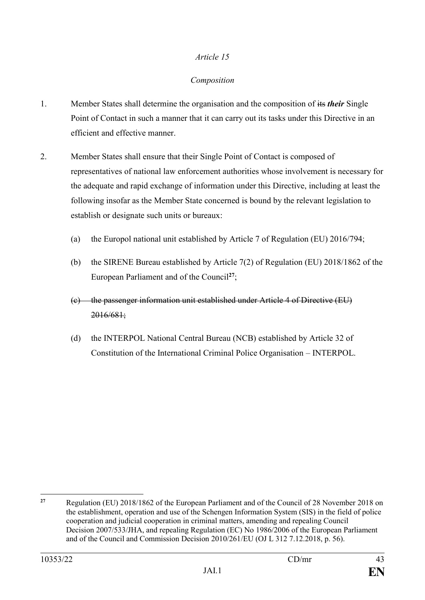## *Composition*

- 1. Member States shall determine the organisation and the composition of its *their* Single Point of Contact in such a manner that it can carry out its tasks under this Directive in an efficient and effective manner.
- 2. Member States shall ensure that their Single Point of Contact is composed of representatives of national law enforcement authorities whose involvement is necessary for the adequate and rapid exchange of information under this Directive, including at least the following insofar as the Member State concerned is bound by the relevant legislation to establish or designate such units or bureaux:
	- (a) the Europol national unit established by Article 7 of Regulation (EU) 2016/794;
	- (b) the SIRENE Bureau established by Article 7(2) of Regulation (EU) 2018/1862 of the European Parliament and of the Council**<sup>27</sup>**;
	- (c) the passenger information unit established under Article 4 of Directive (EU) 2016/681;
	- (d) the INTERPOL National Central Bureau (NCB) established by Article 32 of Constitution of the International Criminal Police Organisation – INTERPOL.

<u>.</u>

**<sup>27</sup>** Regulation (EU) 2018/1862 of the European Parliament and of the Council of 28 November 2018 on the establishment, operation and use of the Schengen Information System (SIS) in the field of police cooperation and judicial cooperation in criminal matters, amending and repealing Council Decision 2007/533/JHA, and repealing Regulation (EC) No 1986/2006 of the European Parliament and of the Council and Commission Decision 2010/261/EU (OJ L 312 7.12.2018, p. 56).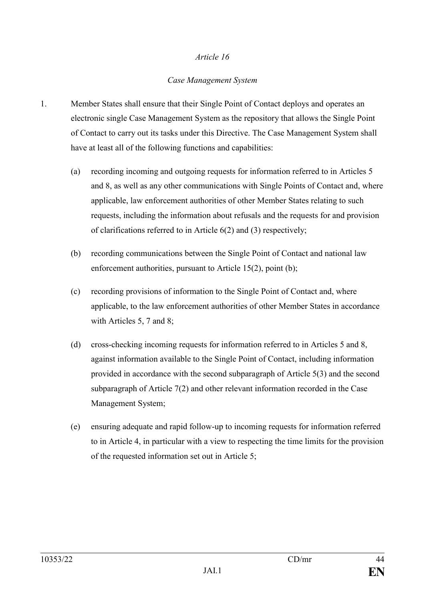## *Case Management System*

- 1. Member States shall ensure that their Single Point of Contact deploys and operates an electronic single Case Management System as the repository that allows the Single Point of Contact to carry out its tasks under this Directive. The Case Management System shall have at least all of the following functions and capabilities:
	- (a) recording incoming and outgoing requests for information referred to in Articles 5 and 8, as well as any other communications with Single Points of Contact and, where applicable, law enforcement authorities of other Member States relating to such requests, including the information about refusals and the requests for and provision of clarifications referred to in Article 6(2) and (3) respectively;
	- (b) recording communications between the Single Point of Contact and national law enforcement authorities, pursuant to Article 15(2), point (b);
	- (c) recording provisions of information to the Single Point of Contact and, where applicable, to the law enforcement authorities of other Member States in accordance with Articles 5, 7 and 8;
	- (d) cross-checking incoming requests for information referred to in Articles 5 and 8, against information available to the Single Point of Contact, including information provided in accordance with the second subparagraph of Article 5(3) and the second subparagraph of Article 7(2) and other relevant information recorded in the Case Management System;
	- (e) ensuring adequate and rapid follow-up to incoming requests for information referred to in Article 4, in particular with a view to respecting the time limits for the provision of the requested information set out in Article 5;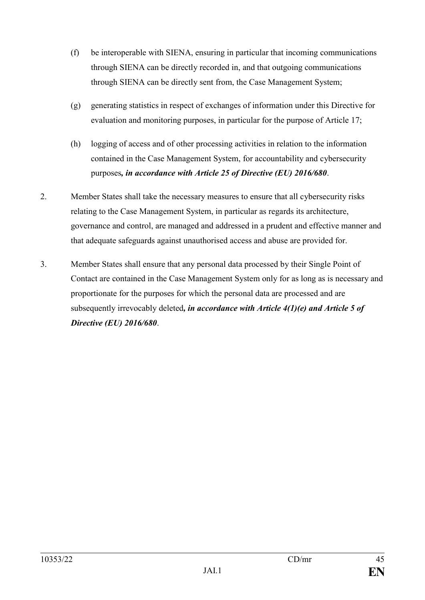- (f) be interoperable with SIENA, ensuring in particular that incoming communications through SIENA can be directly recorded in, and that outgoing communications through SIENA can be directly sent from, the Case Management System;
- (g) generating statistics in respect of exchanges of information under this Directive for evaluation and monitoring purposes, in particular for the purpose of Article 17;
- (h) logging of access and of other processing activities in relation to the information contained in the Case Management System, for accountability and cybersecurity purposes*, in accordance with Article 25 of Directive (EU) 2016/680*.
- 2. Member States shall take the necessary measures to ensure that all cybersecurity risks relating to the Case Management System, in particular as regards its architecture, governance and control, are managed and addressed in a prudent and effective manner and that adequate safeguards against unauthorised access and abuse are provided for.
- 3. Member States shall ensure that any personal data processed by their Single Point of Contact are contained in the Case Management System only for as long as is necessary and proportionate for the purposes for which the personal data are processed and are subsequently irrevocably deleted*, in accordance with Article 4(1)(e) and Article 5 of Directive (EU) 2016/680*.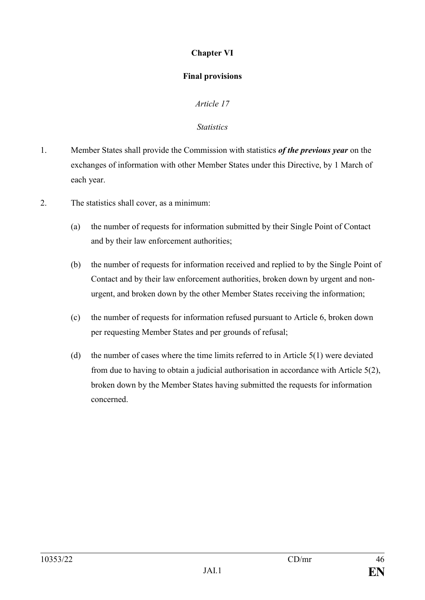# **Chapter VI**

## **Final provisions**

# *Article 17*

### *Statistics*

- 1. Member States shall provide the Commission with statistics *of the previous year* on the exchanges of information with other Member States under this Directive, by 1 March of each year.
- 2. The statistics shall cover, as a minimum:
	- (a) the number of requests for information submitted by their Single Point of Contact and by their law enforcement authorities;
	- (b) the number of requests for information received and replied to by the Single Point of Contact and by their law enforcement authorities, broken down by urgent and nonurgent, and broken down by the other Member States receiving the information;
	- (c) the number of requests for information refused pursuant to Article 6, broken down per requesting Member States and per grounds of refusal;
	- (d) the number of cases where the time limits referred to in Article 5(1) were deviated from due to having to obtain a judicial authorisation in accordance with Article 5(2), broken down by the Member States having submitted the requests for information concerned.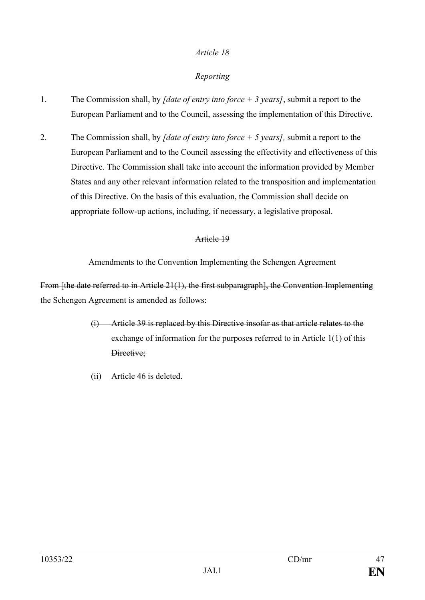# *Reporting*

- 1. The Commission shall, by *[date of entry into force + 3 years]*, submit a report to the European Parliament and to the Council, assessing the implementation of this Directive.
- 2. The Commission shall, by *[date of entry into force + 5 years],* submit a report to the European Parliament and to the Council assessing the effectivity and effectiveness of this Directive. The Commission shall take into account the information provided by Member States and any other relevant information related to the transposition and implementation of this Directive. On the basis of this evaluation, the Commission shall decide on appropriate follow-up actions, including, if necessary, a legislative proposal.

### Article 19

### Amendments to the Convention Implementing the Schengen Agreement

From [the date referred to in Article 21(1), the first subparagraph], the Convention Implementing the Schengen Agreement is amended as follows:

- (i) Article 39 is replaced by this Directive insofar as that article relates to the exchange of information for the purpose**s** referred to in Article 1(1) of this Directive;
- (ii) Article 46 is deleted.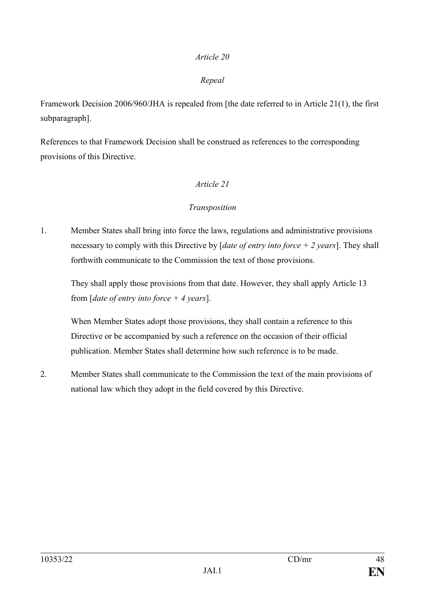## *Repeal*

Framework Decision 2006/960/JHA is repealed from [the date referred to in Article 21(1), the first subparagraph].

References to that Framework Decision shall be construed as references to the corresponding provisions of this Directive.

## *Article 21*

# *Transposition*

1. Member States shall bring into force the laws, regulations and administrative provisions necessary to comply with this Directive by [*date of entry into force + 2 years*]. They shall forthwith communicate to the Commission the text of those provisions.

They shall apply those provisions from that date. However, they shall apply Article 13 from [*date of entry into force + 4 years*].

When Member States adopt those provisions, they shall contain a reference to this Directive or be accompanied by such a reference on the occasion of their official publication. Member States shall determine how such reference is to be made.

2. Member States shall communicate to the Commission the text of the main provisions of national law which they adopt in the field covered by this Directive.